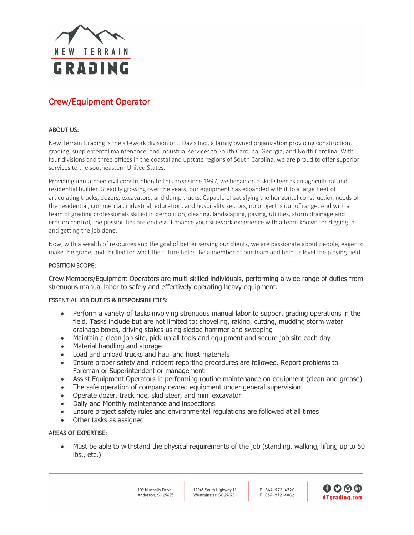

# Crew/Equipment Operator

## ABOUT US:

New Terrain Grading is the sitework division of J. Davis Inc., a family owned organization providing construction, grading, supplemental maintenance, and industrial services to South Carolina, Georgia, and North Carolina. With four divisions and three offices in the coastal and upstate regions of South Carolina, we are proud to offer superior services to the southeastern United States.

Providing unmatched civil construction to this area since 1997, we began on a skid-steer as an agricultural and residential builder. Steadily growing over the years, our equipment has expanded with it to a large fleet of articulating trucks, dozers, excavators, and dump trucks. Capable of satisfying the horizontal construction needs of the residential, commercial, industrial, education, and hospitality sectors, no project is out of range. And with a team of grading professionals skilled in demolition, clearing, landscaping, paving, utilities, storm drainage and erosion control, the possibilities are endless. Enhance your sitework experience with a team known for digging in and getting the job done.

Now, with a wealth of resources and the goal of better serving our clients, we are passionate about people, eager to make the grade, and thrilled for what the future holds. Be a member of our team and help us level the playing field.

#### POSITION SCOPE:

Crew Members/Equipment Operators are multi-skilled individuals, performing a wide range of duties from strenuous manual labor to safely and effectively operating heavy equipment.

### ESSENTIAL JOB DUTIES & RESPONSIBILITIES:

- Perform a variety of tasks involving strenuous manual labor to support grading operations in the field. Tasks include but are not limited to: shoveling, raking, cutting, mudding storm water drainage boxes, driving stakes using sledge hammer and sweeping
- Maintain a clean job site, pick up all tools and equipment and secure job site each day
- Material handling and storage
- Load and unload trucks and haul and hoist materials
- Ensure proper safety and incident reporting procedures are followed. Report problems to Foreman or Superintendent or management
- Assist Equipment Operators in performing routine maintenance on equipment (clean and grease)
- The safe operation of company owned equipment under general supervision
- Operate dozer, track hoe, skid steer, and mini excavator
- Daily and Monthly maintenance and inspections
- Ensure project safety rules and environmental regulations are followed at all times
- Other tasks as assigned

## AREAS OF EXPERTISE:

• Must be able to withstand the physical requirements of the job (standing, walking, lifting up to 50 lbs., etc.)